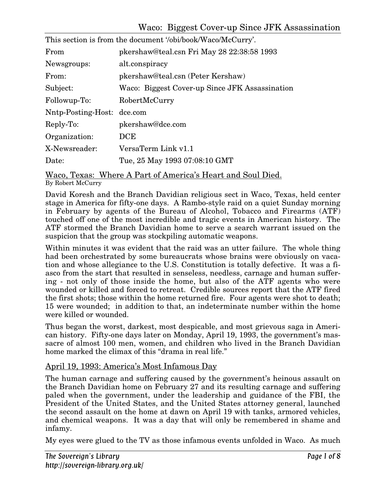| This section is from the document '/obi/book/Waco/McCurry'. |                                                |
|-------------------------------------------------------------|------------------------------------------------|
| From                                                        | pkershaw@teal.csn Fri May 28 22:38:58 1993     |
| Newsgroups:                                                 | alt.conspiracy                                 |
| From:                                                       | pkershaw@teal.csn (Peter Kershaw)              |
| Subject:                                                    | Waco: Biggest Cover-up Since JFK Assassination |
| Followup-To:                                                | RobertMcCurry                                  |
| Nntp-Posting-Host: dce.com                                  |                                                |
| Reply-To:                                                   | pkershaw@dce.com                               |
| Organization:                                               | DCE                                            |
| X-Newsreader:                                               | VersaTerm Link v1.1                            |
| Date:                                                       | Tue, 25 May 1993 07:08:10 GMT                  |
|                                                             |                                                |

Waco, Texas: Where A Part of America's Heart and Soul Died. By Robert McCurry

David Koresh and the Branch Davidian religious sect in Waco, Texas, held center stage in America for fifty-one days. A Rambo-style raid on a quiet Sunday morning in February by agents of the Bureau of Alcohol, Tobacco and Firearms (ATF) touched off one of the most incredible and tragic events in American history. The ATF stormed the Branch Davidian home to serve a search warrant issued on the suspicion that the group was stockpiling automatic weapons.

Within minutes it was evident that the raid was an utter failure. The whole thing had been orchestrated by some bureaucrats whose brains were obviously on vacation and whose allegiance to the U.S. Constitution is totally defective. It was a fiasco from the start that resulted in senseless, needless, carnage and human suffering - not only of those inside the home, but also of the ATF agents who were wounded or killed and forced to retreat. Credible sources report that the ATF fired the first shots; those within the home returned fire. Four agents were shot to death; 15 were wounded; in addition to that, an indeterminate number within the home were killed or wounded.

Thus began the worst, darkest, most despicable, and most grievous saga in American history. Fifty-one days later on Monday, April 19, 1993, the government's massacre of almost 100 men, women, and children who lived in the Branch Davidian home marked the climax of this "drama in real life."

## April 19, 1993: America's Most Infamous Day

The human carnage and suffering caused by the government's heinous assault on the Branch Davidian home on February 27 and its resulting carnage and suffering paled when the government, under the leadership and guidance of the FBI, the President of the United States, and the United States attorney general, launched the second assault on the home at dawn on April 19 with tanks, armored vehicles, and chemical weapons. It was a day that will only be remembered in shame and infamy.

My eyes were glued to the TV as those infamous events unfolded in Waco. As much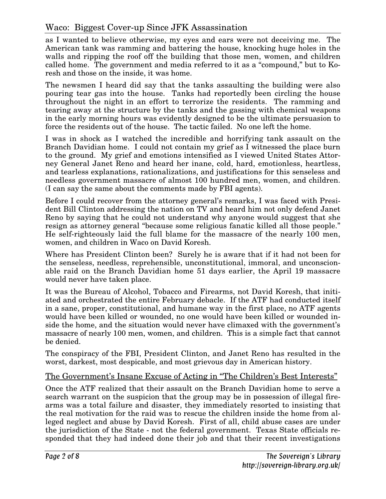## Waco: Biggest Cover-up Since JFK Assassination

as I wanted to believe otherwise, my eyes and ears were not deceiving me. The American tank was ramming and battering the house, knocking huge holes in the walls and ripping the roof off the building that those men, women, and children called home. The government and media referred to it as a "compound," but to Koresh and those on the inside, it was home.

The newsmen I heard did say that the tanks assaulting the building were also pouring tear gas into the house. Tanks had reportedly been circling the house throughout the night in an effort to terrorize the residents. The ramming and tearing away at the structure by the tanks and the gassing with chemical weapons in the early morning hours was evidently designed to be the ultimate persuasion to force the residents out of the house. The tactic failed. No one left the home.

I was in shock as I watched the incredible and horrifying tank assault on the Branch Davidian home. I could not contain my grief as I witnessed the place burn to the ground. My grief and emotions intensified as I viewed United States Attorney General Janet Reno and heard her inane, cold, hard, emotionless, heartless, and tearless explanations, rationalizations, and justifications for this senseless and needless government massacre of almost 100 hundred men, women, and children. (I can say the same about the comments made by FBI agents).

Before I could recover from the attorney general's remarks, I was faced with President Bill Clinton addressing the nation on TV and heard him not only defend Janet Reno by saying that he could not understand why anyone would suggest that she resign as attorney general "because some religious fanatic killed all those people." He self-righteously laid the full blame for the massacre of the nearly 100 men, women, and children in Waco on David Koresh.

Where has President Clinton been? Surely he is aware that if it had not been for the senseless, needless, reprehensible, unconstitutional, immoral, and unconscionable raid on the Branch Davidian home 51 days earlier, the April 19 massacre would never have taken place.

It was the Bureau of Alcohol, Tobacco and Firearms, not David Koresh, that initiated and orchestrated the entire February debacle. If the ATF had conducted itself in a sane, proper, constitutional, and humane way in the first place, no ATF agents would have been killed or wounded, no one would have been killed or wounded inside the home, and the situation would never have climaxed with the government's massacre of nearly 100 men, women, and children. This is a simple fact that cannot be denied.

The conspiracy of the FBI, President Clinton, and Janet Reno has resulted in the worst, darkest, most despicable, and most grievous day in American history.

### The Government's Insane Excuse of Acting in "The Children's Best Interests"

Once the ATF realized that their assault on the Branch Davidian home to serve a search warrant on the suspicion that the group may be in possession of illegal firearms was a total failure and disaster, they immediately resorted to insisting that the real motivation for the raid was to rescue the children inside the home from alleged neglect and abuse by David Koresh. First of all, child abuse cases are under the jurisdiction of the State - not the federal government. Texas State officials responded that they had indeed done their job and that their recent investigations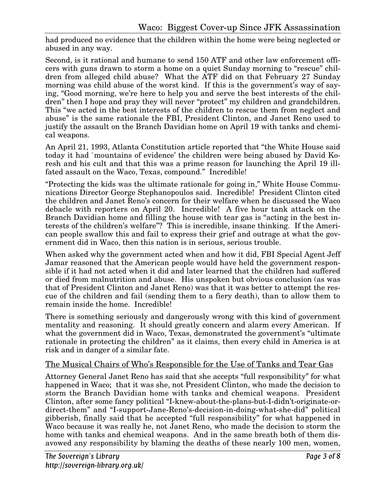had produced no evidence that the children within the home were being neglected or abused in any way.

Second, is it rational and humane to send 150 ATF and other law enforcement officers with guns drawn to storm a home on a quiet Sunday morning to "rescue" children from alleged child abuse? What the ATF did on that February 27 Sunday morning was child abuse of the worst kind. If this is the government's way of saying, "Good morning, we're here to help you and serve the best interests of the children" then I hope and pray they will never "protect" my children and grandchildren. This "we acted in the best interests of the children to rescue them from neglect and abuse" is the same rationale the FBI, President Clinton, and Janet Reno used to justify the assault on the Branch Davidian home on April 19 with tanks and chemical weapons.

An April 21, 1993, Atlanta Constitution article reported that "the White House said today it had `mountains of evidence' the children were being abused by David Koresh and his cult and that this was a prime reason for launching the April 19 illfated assault on the Waco, Texas, compound." Incredible!

"Protecting the kids was the ultimate rationale for going in," White House Communications Director George Stephanopoulos said. Incredible! President Clinton cited the children and Janet Reno's concern for their welfare when he discussed the Waco debacle with reporters on April 20. Incredible! A five hour tank attack on the Branch Davidian home and filling the house with tear gas is "acting in the best interests of the children's welfare"? This is incredible, insane thinking. If the American people swallow this and fail to express their grief and outrage at what the government did in Waco, then this nation is in serious, serious trouble.

When asked why the government acted when and how it did, FBI Special Agent Jeff Jamar reasoned that the American people would have held the government responsible if it had not acted when it did and later learned that the children had suffered or died from malnutrition and abuse. His unspoken but obvious conclusion (as was that of President Clinton and Janet Reno) was that it was better to attempt the rescue of the children and fail (sending them to a fiery death), than to allow them to remain inside the home. Incredible!

There is something seriously and dangerously wrong with this kind of government mentality and reasoning. It should greatly concern and alarm every American. If what the government did in Waco, Texas, demonstrated the government's "ultimate rationale in protecting the children" as it claims, then every child in America is at risk and in danger of a similar fate.

## The Musical Chairs of Who's Responsible for the Use of Tanks and Tear Gas

Attorney General Janet Reno has said that she accepts "full responsibility" for what happened in Waco; that it was she, not President Clinton, who made the decision to storm the Branch Davidian home with tanks and chemical weapons. President Clinton, after some fancy political "I-knew-about-the-plans-but-I-didn't-originate-ordirect-them" and "I-support-Jane-Reno's-decision-in-doing-what-she-did" political gibberish, finally said that he accepted "full responsibility" for what happened in Waco because it was really he, not Janet Reno, who made the decision to storm the home with tanks and chemical weapons. And in the same breath both of them disavowed any responsibility by blaming the deaths of these nearly 100 men, women,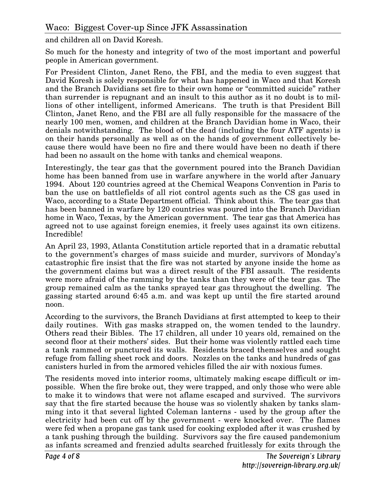and children all on David Koresh.

So much for the honesty and integrity of two of the most important and powerful people in American government.

For President Clinton, Janet Reno, the FBI, and the media to even suggest that David Koresh is solely responsible for what has happened in Waco and that Koresh and the Branch Davidians set fire to their own home or "committed suicide" rather than surrender is repugnant and an insult to this author as it no doubt is to millions of other intelligent, informed Americans. The truth is that President Bill Clinton, Janet Reno, and the FBI are all fully responsible for the massacre of the nearly 100 men, women, and children at the Branch Davidian home in Waco, their denials notwithstanding. The blood of the dead (including the four ATF agents) is on their hands personally as well as on the hands of government collectively because there would have been no fire and there would have been no death if there had been no assault on the home with tanks and chemical weapons.

Interestingly, the tear gas that the government poured into the Branch Davidian home has been banned from use in warfare anywhere in the world after January 1994. About 120 countries agreed at the Chemical Weapons Convention in Paris to ban the use on battlefields of all riot control agents such as the CS gas used in Waco, according to a State Department official. Think about this. The tear gas that has been banned in warfare by 120 countries was poured into the Branch Davidian home in Waco, Texas, by the American government. The tear gas that America has agreed not to use against foreign enemies, it freely uses against its own citizens. Incredible!

An April 23, 1993, Atlanta Constitution article reported that in a dramatic rebuttal to the government's charges of mass suicide and murder, survivors of Monday's catastrophic fire insist that the fire was not started by anyone inside the home as the government claims but was a direct result of the FBI assault. The residents were more afraid of the ramming by the tanks than they were of the tear gas. The group remained calm as the tanks sprayed tear gas throughout the dwelling. The gassing started around 6:45 a.m. and was kept up until the fire started around noon.

According to the survivors, the Branch Davidians at first attempted to keep to their daily routines. With gas masks strapped on, the women tended to the laundry. Others read their Bibles. The 17 children, all under 10 years old, remained on the second floor at their mothers' sides. But their home was violently rattled each time a tank rammed or punctured its walls. Residents braced themselves and sought refuge from falling sheet rock and doors. Nozzles on the tanks and hundreds of gas canisters hurled in from the armored vehicles filled the air with noxious fumes.

The residents moved into interior rooms, ultimately making escape difficult or impossible. When the fire broke out, they were trapped, and only those who were able to make it to windows that were not aflame escaped and survived. The survivors say that the fire started because the house was so violently shaken by tanks slamming into it that several lighted Coleman lanterns - used by the group after the electricity had been cut off by the government - were knocked over. The flames were fed when a propane gas tank used for cooking exploded after it was crushed by a tank pushing through the building. Survivors say the fire caused pandemonium as infants screamed and frenzied adults searched fruitlessly for exits through the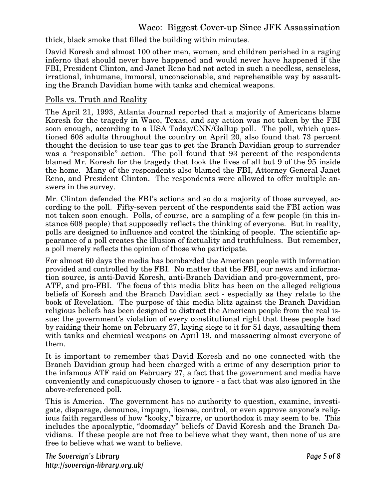thick, black smoke that filled the building within minutes.

David Koresh and almost 100 other men, women, and children perished in a raging inferno that should never have happened and would never have happened if the FBI, President Clinton, and Janet Reno had not acted in such a needless, senseless, irrational, inhumane, immoral, unconscionable, and reprehensible way by assaulting the Branch Davidian home with tanks and chemical weapons.

#### Polls vs. Truth and Reality

The April 21, 1993, Atlanta Journal reported that a majority of Americans blame Koresh for the tragedy in Waco, Texas, and say action was not taken by the FBI soon enough, according to a USA Today/CNN/Gallup poll. The poll, which questioned 608 adults throughout the country on April 20, also found that 73 percent thought the decision to use tear gas to get the Branch Davidian group to surrender was a "responsible" action. The poll found that 93 percent of the respondents blamed Mr. Koresh for the tragedy that took the lives of all but 9 of the 95 inside the home. Many of the respondents also blamed the FBI, Attorney General Janet Reno, and President Clinton. The respondents were allowed to offer multiple answers in the survey.

Mr. Clinton defended the FBI's actions and so do a majority of those surveyed, according to the poll. Fifty-seven percent of the respondents said the FBI action was not taken soon enough. Polls, of course, are a sampling of a few people (in this instance 608 people) that supposedly reflects the thinking of everyone. But in reality, polls are designed to influence and control the thinking of people. The scientific appearance of a poll creates the illusion of factuality and truthfulness. But remember, a poll merely reflects the opinion of those who participate.

For almost 60 days the media has bombarded the American people with information provided and controlled by the FBI. No matter that the FBI, our news and information source, is anti-David Koresh, anti-Branch Davidian and pro-government, pro-ATF, and pro-FBI. The focus of this media blitz has been on the alleged religious beliefs of Koresh and the Branch Davidian sect - especially as they relate to the book of Revelation. The purpose of this media blitz against the Branch Davidian religious beliefs has been designed to distract the American people from the real issue: the government's violation of every constitutional right that these people had by raiding their home on February 27, laying siege to it for 51 days, assaulting them with tanks and chemical weapons on April 19, and massacring almost everyone of them.

It is important to remember that David Koresh and no one connected with the Branch Davidian group had been charged with a crime of any description prior to the infamous ATF raid on February 27, a fact that the government and media have conveniently and conspicuously chosen to ignore - a fact that was also ignored in the above-referenced poll.

This is America. The government has no authority to question, examine, investigate, disparage, denounce, impugn, license, control, or even approve anyone's religious faith regardless of how "kooky," bizarre, or unorthodox it may seem to be. This includes the apocalyptic, "doomsday" beliefs of David Koresh and the Branch Davidians. If these people are not free to believe what they want, then none of us are free to believe what we want to believe.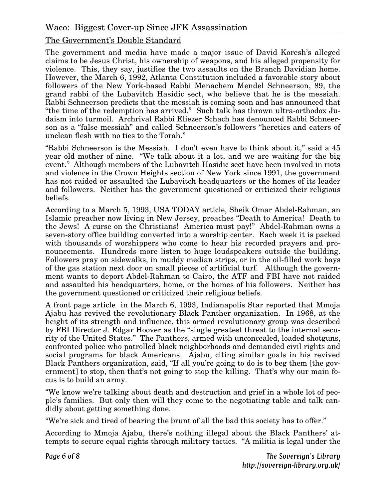### The Government's Double Standard

The government and media have made a major issue of David Koresh's alleged claims to be Jesus Christ, his ownership of weapons, and his alleged propensity for violence. This, they say, justifies the two assaults on the Branch Davidian home. However, the March 6, 1992, Atlanta Constitution included a favorable story about followers of the New York-based Rabbi Menachem Mendel Schneerson, 89, the grand rabbi of the Lubavitch Hasidic sect, who believe that he is the messiah. Rabbi Schneerson predicts that the messiah is coming soon and has announced that "the time of the redemption has arrived." Such talk has thrown ultra-orthodox Judaism into turmoil. Archrival Rabbi Eliezer Schach has denounced Rabbi Schneerson as a "false messiah" and called Schneerson's followers "heretics and eaters of unclean flesh with no ties to the Torah."

"Rabbi Schneerson is the Messiah. I don't even have to think about it," said a 45 year old mother of nine. "We talk about it a lot, and we are waiting for the big event." Although members of the Lubavitch Hasidic sect have been involved in riots and violence in the Crown Heights section of New York since 1991, the government has not raided or assaulted the Lubavitch headquarters or the homes of its leader and followers. Neither has the government questioned or criticized their religious beliefs.

According to a March 5, 1993, USA TODAY article, Sheik Omar Abdel-Rahman, an Islamic preacher now living in New Jersey, preaches "Death to America! Death to the Jews! A curse on the Christians! America must pay!" Abdel-Rahman owns a seven-story office building converted into a worship center. Each week it is packed with thousands of worshippers who come to hear his recorded prayers and pronouncements. Hundreds more listen to huge loudspeakers outside the building. Followers pray on sidewalks, in muddy median strips, or in the oil-filled work bays of the gas station next door on small pieces of artificial turf. Although the government wants to deport Abdel-Rahman to Cairo, the ATF and FBI have not raided and assaulted his headquarters, home, or the homes of his followers. Neither has the government questioned or criticized their religious beliefs.

A front page article in the March 6, 1993, Indianapolis Star reported that Mmoja Ajabu has revived the revolutionary Black Panther organization. In 1968, at the height of its strength and influence, this armed revolutionary group was described by FBI Director J. Edgar Hoover as the "single greatest threat to the internal security of the United States." The Panthers, armed with unconcealed, loaded shotguns, confronted police who patrolled black neighborhoods and demanded civil rights and social programs for black Americans. Ajabu, citing similar goals in his revived Black Panthers organization, said, "If all you're going to do is to beg them [the government] to stop, then that's not going to stop the killing. That's why our main focus is to build an army.

"We know we're talking about death and destruction and grief in a whole lot of people's families. But only then will they come to the negotiating table and talk candidly about getting something done.

"We're sick and tired of bearing the brunt of all the bad this society has to offer."

According to Mmoja Ajabu, there's nothing illegal about the Black Panthers' attempts to secure equal rights through military tactics. "A militia is legal under the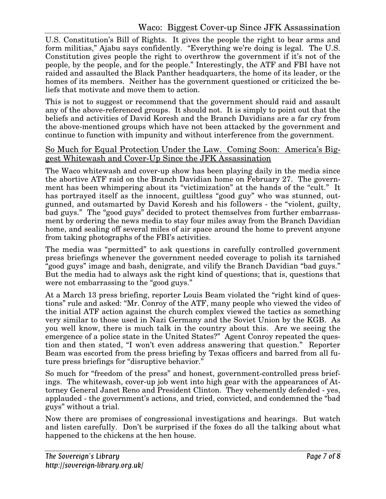U.S. Constitution's Bill of Rights. It gives the people the right to bear arms and form militias," Ajabu says confidently. "Everything we're doing is legal. The U.S. Constitution gives people the right to overthrow the government if it's not of the people, by the people, and for the people." Interestingly, the ATF and FBI have not raided and assaulted the Black Panther headquarters, the home of its leader, or the homes of its members. Neither has the government questioned or criticized the beliefs that motivate and move them to action.

This is not to suggest or recommend that the government should raid and assault any of the above-referenced groups. It should not. It is simply to point out that the beliefs and activities of David Koresh and the Branch Davidians are a far cry from the above-mentioned groups which have not been attacked by the government and continue to function with impunity and without interference from the government.

#### So Much for Equal Protection Under the Law. Coming Soon: America's Biggest Whitewash and Cover-Up Since the JFK Assassination

The Waco whitewash and cover-up show has been playing daily in the media since the abortive ATF raid on the Branch Davidian home on February 27. The government has been whimpering about its "victimization" at the hands of the "cult." It has portrayed itself as the innocent, guiltless "good guy" who was stunned, outgunned, and outsmarted by David Koresh and his followers - the "violent, guilty, bad guys." The "good guys" decided to protect themselves from further embarrassment by ordering the news media to stay four miles away from the Branch Davidian home, and sealing off several miles of air space around the home to prevent anyone from taking photographs of the FBI's activities.

The media was "permitted" to ask questions in carefully controlled government press briefings whenever the government needed coverage to polish its tarnished "good guys" image and bash, denigrate, and vilify the Branch Davidian "bad guys." But the media had to always ask the right kind of questions; that is, questions that were not embarrassing to the "good guys."

At a March 13 press briefing, reporter Louis Beam violated the "right kind of questions" rule and asked: "Mr. Conroy of the ATF, many people who viewed the video of the initial ATF action against the church complex viewed the tactics as something very similar to those used in Nazi Germany and the Soviet Union by the KGB. As you well know, there is much talk in the country about this. Are we seeing the emergence of a police state in the United States?" Agent Conroy repeated the question and then stated, "I won't even address answering that question." Reporter Beam was escorted from the press briefing by Texas officers and barred from all future press briefings for "disruptive behavior."

So much for "freedom of the press" and honest, government-controlled press briefings. The whitewash, cover-up job went into high gear with the appearances of Attorney General Janet Reno and President Clinton. They vehemently defended - yes, applauded - the government's actions, and tried, convicted, and condemned the "bad guys" without a trial.

Now there are promises of congressional investigations and hearings. But watch and listen carefully. Don't be surprised if the foxes do all the talking about what happened to the chickens at the hen house.